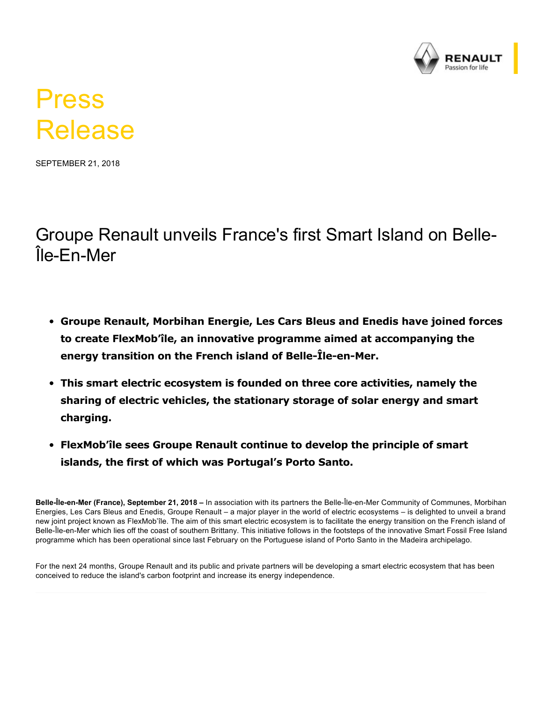

## Press Release

SEPTEMBER 21, 2018

Groupe Renault unveils France's first Smart Island on Belle-Île-En-Mer

- **Groupe Renault, Morbihan Energie, Les Cars Bleus and Enedis have joined forces to create FlexMob'île, an innovative programme aimed at accompanying the** energy transition on the French island of Belle-Île-en-Mer.
- **This smart electric ecosystem is founded on three core activities, namely the sharing of electric vehicles, the stationary storage of solar energy and smart charging.**
- **FlexMob'île sees Groupe Renault continue to develop the principle of smart islands, the first of which was Portugal's Porto Santo.**

Belle-Île-en-Mer (France), September 21, 2018 – In association with its partners the Belle-Île-en-Mer Community of Communes, Morbihan Energies, Les Cars Bleus and Enedis, Groupe Renault – a major player in the world of electric ecosystems – is delighted to unveil a brand new joint project known as FlexMob'île. The aim of this smart electric ecosystem is to facilitate the energy transition on the French island of Belle-Île-en-Mer which lies off the coast of southern Brittany. This initiative follows in the footsteps of the innovative Smart Fossil Free Island programme which has been operational since last February on the Portuguese island of Porto Santo in the Madeira archipelago.

For the next 24 months, Groupe Renault and its public and private partners will be developing a smart electric ecosystem that has been conceived to reduce the island's carbon footprint and increase its energy independence.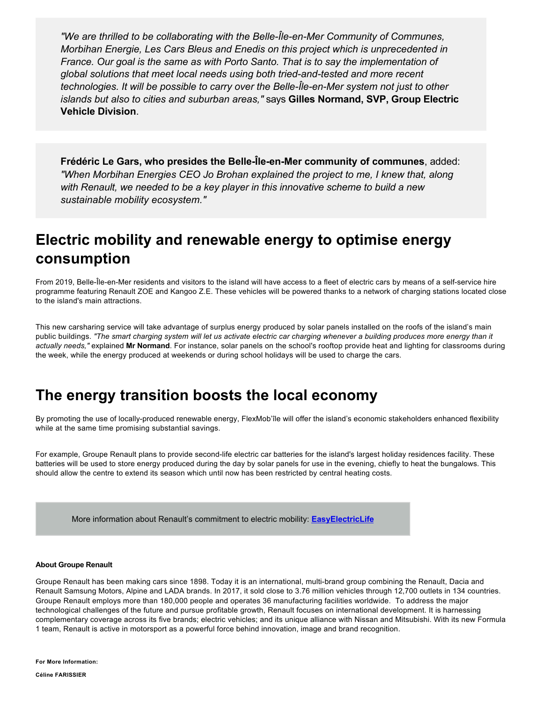*"We are thrilled to be collaborating with the Belle-Île-en-Mer Community of Communes, Morbihan Energie, Les Cars Bleus and Enedis on this project which is unprecedented in France. Our goal is the same as with Porto Santo. That is to say the implementation of global solutions that meet local needs using both triedandtested and more recent technologies. It will be possible to carry over the Belle-Île-en-Mer system not just to other islands but also to cities and suburban areas,"* says **Gilles Normand, SVP, Group Electric Vehicle Division**.

**Frédéric Le Gars, who presides the Belle-Île-en-Mer community of communes, added:** *"When Morbihan Energies CEO Jo Brohan explained the project to me, I knew that, along with Renault, we needed to be a key player in this innovative scheme to build a new sustainable mobility ecosystem."*

## **Electric mobility and renewable energy to optimise energy consumption**

From 2019, Belle-Île-en-Mer residents and visitors to the island will have access to a fleet of electric cars by means of a self-service hire programme featuring Renault ZOE and Kangoo Z.E. These vehicles will be powered thanks to a network of charging stations located close to the island's main attractions.

This new carsharing service will take advantage of surplus energy produced by solar panels installed on the roofs of the island's main public buildings. *"The smart charging system will let us activate electric car charging whenever a building produces more energy than it actually needs,"* explained **Mr Normand**. For instance, solar panels on the school's rooftop provide heat and lighting for classrooms during the week, while the energy produced at weekends or during school holidays will be used to charge the cars.

## **The energy transition boosts the local economy**

By promoting the use of locally-produced renewable energy, FlexMob'île will offer the island's economic stakeholders enhanced flexibility while at the same time promising substantial savings.

For example, Groupe Renault plans to provide second-life electric car batteries for the island's largest holiday residences facility. These batteries will be used to store energy produced during the day by solar panels for use in the evening, chiefly to heat the bungalows. This should allow the centre to extend its season which until now has been restricted by central heating costs.

More information about Renault's commitment to electric mobility: **[EasyElectricLife](https://easyelectriclife.groupe.renault.com/en/)**

## **About Groupe Renault**

Groupe Renault has been making cars since 1898. Today it is an international, multi-brand group combining the Renault, Dacia and Renault Samsung Motors, Alpine and LADA brands. In 2017, it sold close to 3.76 million vehicles through 12,700 outlets in 134 countries. Groupe Renault employs more than 180,000 people and operates 36 manufacturing facilities worldwide. To address the major technological challenges of the future and pursue profitable growth, Renault focuses on international development. It is harnessing complementary coverage across its five brands; electric vehicles; and its unique alliance with Nissan and Mitsubishi. With its new Formula 1 team, Renault is active in motorsport as a powerful force behind innovation, image and brand recognition.

**For More Information:**

**Céline FARISSIER**